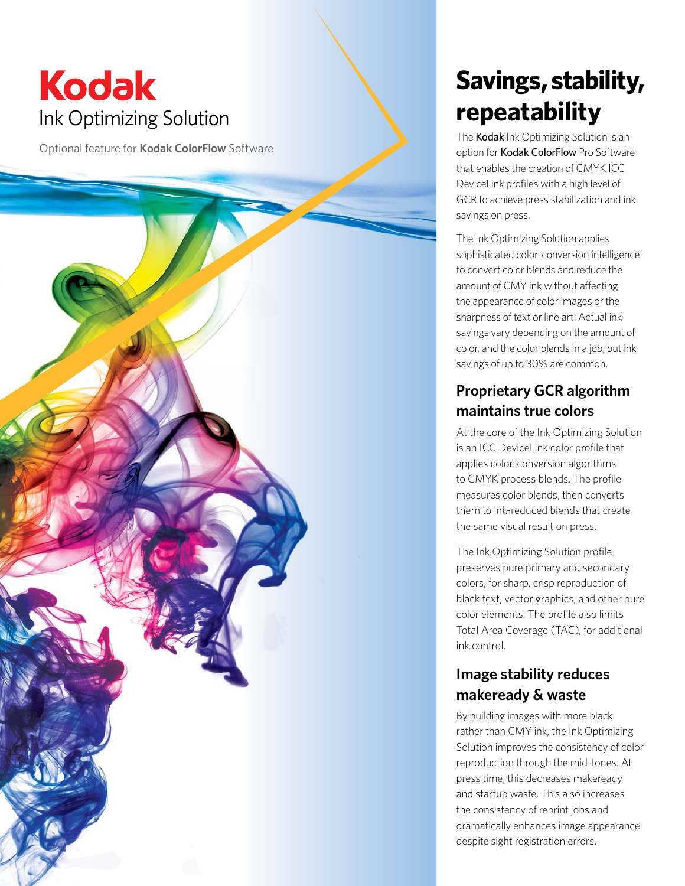# **Kodak** Ink Optimizing Solution

Optional feature for **Kodak ColorFlow** Software

## **Savings, stability, repeatability**

The Kodak Ink Optimizing Solution is an option for Kodak ColorFlow Pro Software that enables the creation of CMYK ICC DeviceLink profiles with a high level of GCR to achieve press stabilization and ink savings on press.

The Ink Optimizing Solution applies sophisticated color-conversion intelligence to convert color blends and reduce the amount of CMY ink without affecting the appearance of color images or the sharpness of text or line art. Actual ink savings vary depending on the amount of color, and the color blends in a job, but ink savings of up to 30% are common.

### **Proprietary GCR algorithm maintains true colors**

At the core of the Ink Optimizing Solution is an ICC DeviceLink color profile that applies color-conversion algorithms to CMYK process blends. The profile measures color blends, then converts them to ink-reduced blends that create the same visual result on press.

The Ink Optimizing Solution profile preserves pure primary and secondary colors, for sharp, crisp reproduction of black text, vector graphics, and other pure color elements. The profile also limits Total Area Coverage (TAC), for additional ink control.

### **Image stability reduces makeready & waste**

By building images with more black rather than CMY ink, the Ink Optimizing Solution improves the consistency of color reproduction through the mid-tones. At press time, this decreases makeready and startup waste. This also increases the consistency of reprint jobs and dramatically enhances image appearance despite sight registration errors.